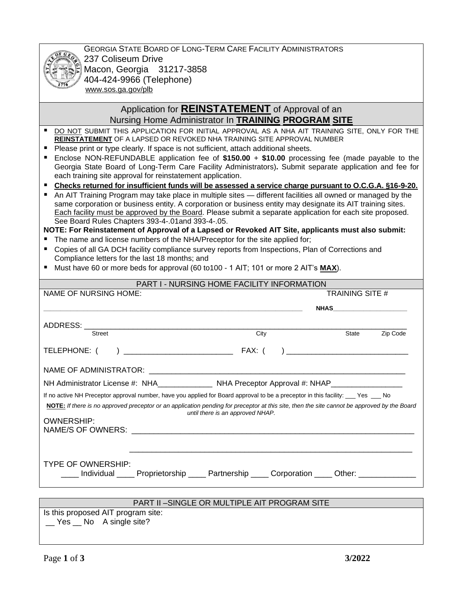GEORGIA STATE BOARD OF LONG-TERM CARE FACILITY ADMINISTRATORS 237 Coliseum Drive Macon, Georgia 31217-3858 404-424-9966 (Telephone) www.sos.ga.gov/plb

## Application for **REINSTATEMENT** of Approval of an Nursing Home Administrator In **TRAINING PROGRAM SITE**

- DO NOT SUBMIT THIS APPLICATION FOR INITIAL APPROVAL AS A NHA AIT TRAINING SITE, ONLY FOR THE **REINSTATEMENT** OF A LAPSED OR REVOKED NHA TRAINING SITE APPROVAL NUMBER
- Please print or type clearly. If space is not sufficient, attach additional sheets.
- Enclose NON-REFUNDABLE application fee of \$150.00 + \$10.00 processing fee (made payable to the Georgia State Board of Long-Term Care Facility Administrators)**.** Submit separate application and fee for each training site approval for reinstatement application.
- Checks returned for insufficient funds will be assessed a service charge pursuant to O.C.G.A. §16-9-20.
- An AIT Training Program may take place in multiple sites different facilities all owned or managed by the same corporation or business entity. A corporation or business entity may designate its AIT training sites. Each facility must be approved by the Board. Please submit a separate application for each site proposed. See Board Rules Chapters 393-4-.01and 393-4-.05.

**NOTE: For Reinstatement of Approval of a Lapsed or Revoked AIT Site, applicants must also submit:**

- The name and license numbers of the NHA/Preceptor for the site applied for;
- Copies of all GA DCH facility compliance survey reports from Inspections, Plan of Corrections and Compliance letters for the last 18 months; and
- Must have 60 or more beds for approval (60 to100 1 AIT; 101 or more 2 AIT's **MAX**).

| <b>PART I - NURSING HOME FACILITY INFORMATION</b>                                                                                                                                                                                                                                                     |                                  |  |                  |          |
|-------------------------------------------------------------------------------------------------------------------------------------------------------------------------------------------------------------------------------------------------------------------------------------------------------|----------------------------------|--|------------------|----------|
| <b>NAME OF NURSING HOME:</b>                                                                                                                                                                                                                                                                          | <b>TRAINING SITE #</b>           |  |                  |          |
|                                                                                                                                                                                                                                                                                                       |                                  |  | NHAS <b>NHAS</b> |          |
|                                                                                                                                                                                                                                                                                                       |                                  |  |                  |          |
| Street                                                                                                                                                                                                                                                                                                | City                             |  | State            | Zip Code |
| TELEPHONE: (                                                                                                                                                                                                                                                                                          |                                  |  |                  |          |
|                                                                                                                                                                                                                                                                                                       |                                  |  |                  |          |
| NH Administrator License #: NHA______________ NHA Preceptor Approval #: NHAP________________                                                                                                                                                                                                          |                                  |  |                  |          |
| If no active NH Preceptor approval number, have you applied for Board approval to be a preceptor in this facility: ___ Yes ___ No<br>NOTE: If there is no approved preceptor or an application pending for preceptor at this site, then the site cannot be approved by the Board<br><b>OWNERSHIP:</b> | until there is an approved NHAP. |  |                  |          |
| TYPE OF OWNERSHIP:<br>____ Individual ____ Proprietorship ____ Partnership ____ Corporation ____ Other: ____________                                                                                                                                                                                  |                                  |  |                  |          |
| DADT ILL CINCLE OD MILIE TIDI E AIT DROCRAM CITE                                                                                                                                                                                                                                                      |                                  |  |                  |          |

## PART II –SINGLE OR MULTIPLE AIT PROGRAM SITE

Is this proposed AIT program site: \_\_ Yes \_\_ No A single site?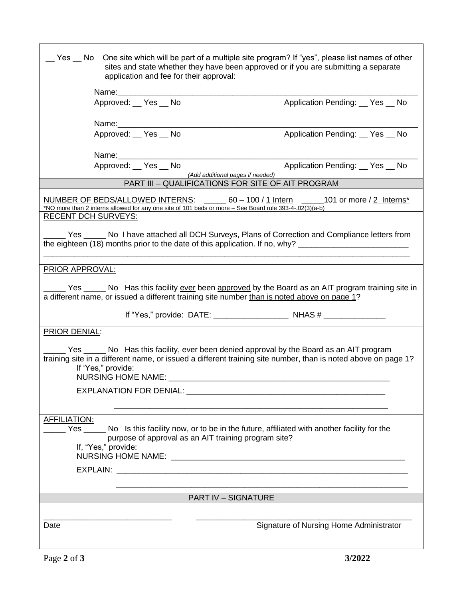|                                                                                                                                                                                                                                                                  | application and fee for their approval: | Yes No One site which will be part of a multiple site program? If "yes", please list names of other<br>sites and state whether they have been approved or if you are submitting a separate                    |  |  |  |
|------------------------------------------------------------------------------------------------------------------------------------------------------------------------------------------------------------------------------------------------------------------|-----------------------------------------|---------------------------------------------------------------------------------------------------------------------------------------------------------------------------------------------------------------|--|--|--|
|                                                                                                                                                                                                                                                                  |                                         |                                                                                                                                                                                                               |  |  |  |
|                                                                                                                                                                                                                                                                  | Approved: Yes No                        | Application Pending:  U Yes  U No                                                                                                                                                                             |  |  |  |
|                                                                                                                                                                                                                                                                  |                                         |                                                                                                                                                                                                               |  |  |  |
|                                                                                                                                                                                                                                                                  | Approved: __ Yes __ No                  | Application Pending: __ Yes __ No                                                                                                                                                                             |  |  |  |
| Name: 1990                                                                                                                                                                                                                                                       |                                         |                                                                                                                                                                                                               |  |  |  |
|                                                                                                                                                                                                                                                                  | Approved: __ Yes __ No                  | Application Pending:  Ses  No<br>(Add additional pages if needed)                                                                                                                                             |  |  |  |
|                                                                                                                                                                                                                                                                  |                                         | PART III - QUALIFICATIONS FOR SITE OF AIT PROGRAM                                                                                                                                                             |  |  |  |
|                                                                                                                                                                                                                                                                  |                                         | NUMBER OF BEDS/ALLOWED INTERNS: ______ 60 - 100 / 1 Intern _____101 or more / 2 Interns*<br>*NO more than 2 interns allowed for any one site of 101 beds or more - See Board rule 393-4-.02(3)(a-b)           |  |  |  |
| <b>RECENT DCH SURVEYS:</b>                                                                                                                                                                                                                                       |                                         |                                                                                                                                                                                                               |  |  |  |
| Yes _____ No I have attached all DCH Surveys, Plans of Correction and Compliance letters from<br>the eighteen (18) months prior to the date of this application. If no, why? __________________________________                                                  |                                         |                                                                                                                                                                                                               |  |  |  |
|                                                                                                                                                                                                                                                                  |                                         |                                                                                                                                                                                                               |  |  |  |
| PRIOR APPROVAL:                                                                                                                                                                                                                                                  |                                         |                                                                                                                                                                                                               |  |  |  |
|                                                                                                                                                                                                                                                                  |                                         | ____ Yes ______ No Has this facility <u>ever</u> been approved by the Board as an AIT program training site in<br>a different name, or issued a different training site number than is noted above on page 1? |  |  |  |
|                                                                                                                                                                                                                                                                  |                                         |                                                                                                                                                                                                               |  |  |  |
| <b>PRIOR DENIAL:</b>                                                                                                                                                                                                                                             |                                         |                                                                                                                                                                                                               |  |  |  |
| ___ Yes _____ No Has this facility, ever been denied approval by the Board as an AIT program<br>training site in a different name, or issued a different training site number, than is noted above on page 1?<br>If 'Yes," provide:<br><b>NURSING HOME NAME:</b> |                                         |                                                                                                                                                                                                               |  |  |  |
|                                                                                                                                                                                                                                                                  |                                         |                                                                                                                                                                                                               |  |  |  |
|                                                                                                                                                                                                                                                                  |                                         |                                                                                                                                                                                                               |  |  |  |
|                                                                                                                                                                                                                                                                  |                                         |                                                                                                                                                                                                               |  |  |  |
| <b>AFFILIATION:</b><br>Yes _______ No Is this facility now, or to be in the future, affiliated with another facility for the<br>purpose of approval as an AIT training program site?<br>If, "Yes," provide:                                                      |                                         |                                                                                                                                                                                                               |  |  |  |
|                                                                                                                                                                                                                                                                  |                                         |                                                                                                                                                                                                               |  |  |  |
|                                                                                                                                                                                                                                                                  |                                         |                                                                                                                                                                                                               |  |  |  |
|                                                                                                                                                                                                                                                                  |                                         | <b>PART IV - SIGNATURE</b>                                                                                                                                                                                    |  |  |  |
|                                                                                                                                                                                                                                                                  |                                         |                                                                                                                                                                                                               |  |  |  |
| Date                                                                                                                                                                                                                                                             |                                         | Signature of Nursing Home Administrator                                                                                                                                                                       |  |  |  |

٦